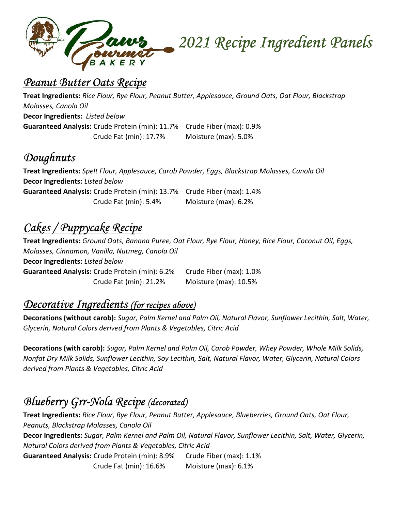

#### Peanut Butter Oats Recipe

Treat Ingredients: Rice Flour, Rye Flour, Peanut Butter, Applesauce, Ground Oats, Oat Flour, Blackstrap Molasses, Canola Oil Decor Ingredients: Listed below Guaranteed Analysis: Crude Protein (min): 11.7% Crude Fiber (max): 0.9% Crude Fat (min): 17.7% Moisture (max): 5.0%

## **Doughnuts**

Treat Ingredients: Spelt Flour, Applesauce, Carob Powder, Eggs, Blackstrap Molasses, Canola Oil Decor Ingredients: Listed below Guaranteed Analysis: Crude Protein (min): 13.7% Crude Fiber (max): 1.4% Crude Fat (min): 5.4% Moisture (max): 6.2%

# Cakes / Puppycake Recipe

Treat Ingredients: Ground Oats, Banana Puree, Oat Flour, Rye Flour, Honey, Rice Flour, Coconut Oil, Eggs, Molasses, Cinnamon, Vanilla, Nutmeg, Canola Oil Decor Ingredients: Listed below Guaranteed Analysis: Crude Protein (min): 6.2% Crude Fiber (max): 1.0% Crude Fat (min): 21.2% Moisture (max): 10.5%

### Decorative Ingredients (for recipes above)

Decorations (without carob): Sugar, Palm Kernel and Palm Oil, Natural Flavor, Sunflower Lecithin, Salt, Water, Glycerin, Natural Colors derived from Plants & Vegetables, Citric Acid

Decorations (with carob): Sugar, Palm Kernel and Palm Oil, Carob Powder, Whey Powder, Whole Milk Solids, Nonfat Dry Milk Solids, Sunflower Lecithin, Soy Lecithin, Salt, Natural Flavor, Water, Glycerin, Natural Colors derived from Plants & Vegetables, Citric Acid

# Blueberry Grr-Nola Recipe (decorated)

Treat Ingredients: Rice Flour, Rye Flour, Peanut Butter, Applesauce, Blueberries, Ground Oats, Oat Flour, Peanuts, Blackstrap Molasses, Canola Oil Decor Ingredients: Sugar, Palm Kernel and Palm Oil, Natural Flavor, Sunflower Lecithin, Salt, Water, Glycerin, Natural Colors derived from Plants & Vegetables, Citric Acid Guaranteed Analysis: Crude Protein (min): 8.9% Crude Fiber (max): 1.1% Crude Fat (min): 16.6% Moisture (max): 6.1%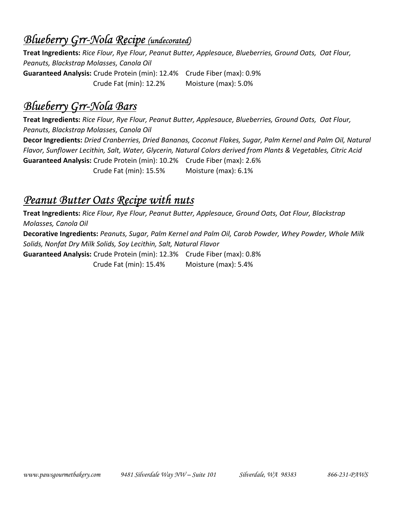### Blueberry Grr-Nola Recipe (undecorated)

Treat Ingredients: Rice Flour, Rye Flour, Peanut Butter, Applesauce, Blueberries, Ground Oats, Oat Flour, Peanuts, Blackstrap Molasses, Canola Oil Guaranteed Analysis: Crude Protein (min): 12.4% Crude Fiber (max): 0.9% Crude Fat (min): 12.2% Moisture (max): 5.0%

## Blueberry Grr-Nola Bars

Treat Ingredients: Rice Flour, Rye Flour, Peanut Butter, Applesauce, Blueberries, Ground Oats, Oat Flour, Peanuts, Blackstrap Molasses, Canola Oil Decor Ingredients: Dried Cranberries, Dried Bananas, Coconut Flakes, Sugar, Palm Kernel and Palm Oil, Natural Flavor, Sunflower Lecithin, Salt, Water, Glycerin, Natural Colors derived from Plants & Vegetables, Citric Acid Guaranteed Analysis: Crude Protein (min): 10.2% Crude Fiber (max): 2.6% Crude Fat (min): 15.5% Moisture (max): 6.1%

#### Peanut Butter Oats Recipe with nuts

Treat Ingredients: Rice Flour, Rye Flour, Peanut Butter, Applesauce, Ground Oats, Oat Flour, Blackstrap Molasses, Canola Oil Decorative Ingredients: Peanuts, Sugar, Palm Kernel and Palm Oil, Carob Powder, Whey Powder, Whole Milk Solids, Nonfat Dry Milk Solids, Soy Lecithin, Salt, Natural Flavor Guaranteed Analysis: Crude Protein (min): 12.3% Crude Fiber (max): 0.8% Crude Fat (min): 15.4% Moisture (max): 5.4%